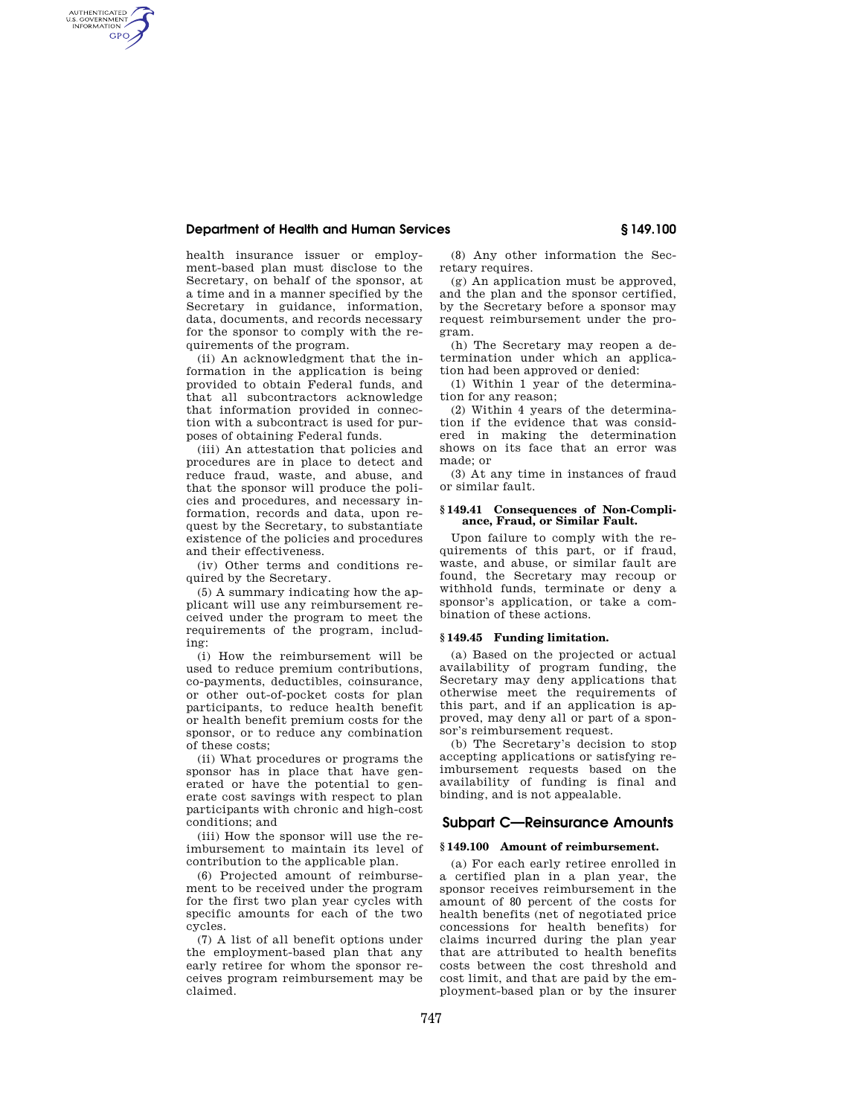## **Department of Health and Human Services § 149.100**

AUTHENTICATED<br>U.S. GOVERNMENT<br>INFORMATION GPO

> health insurance issuer or employment-based plan must disclose to the Secretary, on behalf of the sponsor, at a time and in a manner specified by the Secretary in guidance, information, data, documents, and records necessary for the sponsor to comply with the requirements of the program.

> (ii) An acknowledgment that the information in the application is being provided to obtain Federal funds, and that all subcontractors acknowledge that information provided in connection with a subcontract is used for purposes of obtaining Federal funds.

> (iii) An attestation that policies and procedures are in place to detect and reduce fraud, waste, and abuse, and that the sponsor will produce the policies and procedures, and necessary information, records and data, upon request by the Secretary, to substantiate existence of the policies and procedures and their effectiveness.

(iv) Other terms and conditions required by the Secretary.

(5) A summary indicating how the applicant will use any reimbursement received under the program to meet the requirements of the program, including:

(i) How the reimbursement will be used to reduce premium contributions, co-payments, deductibles, coinsurance, or other out-of-pocket costs for plan participants, to reduce health benefit or health benefit premium costs for the sponsor, or to reduce any combination of these costs;

(ii) What procedures or programs the sponsor has in place that have generated or have the potential to generate cost savings with respect to plan participants with chronic and high-cost conditions; and

(iii) How the sponsor will use the reimbursement to maintain its level of contribution to the applicable plan.

(6) Projected amount of reimbursement to be received under the program for the first two plan year cycles with specific amounts for each of the two cycles.

(7) A list of all benefit options under the employment-based plan that any early retiree for whom the sponsor receives program reimbursement may be claimed.

(8) Any other information the Secretary requires.

(g) An application must be approved, and the plan and the sponsor certified, by the Secretary before a sponsor may request reimbursement under the program.

(h) The Secretary may reopen a determination under which an application had been approved or denied:

(1) Within 1 year of the determination for any reason;

(2) Within 4 years of the determination if the evidence that was considered in making the determination shows on its face that an error was made; or

(3) At any time in instances of fraud or similar fault.

### **§ 149.41 Consequences of Non-Compliance, Fraud, or Similar Fault.**

Upon failure to comply with the requirements of this part, or if fraud, waste, and abuse, or similar fault are found, the Secretary may recoup or withhold funds, terminate or deny a sponsor's application, or take a combination of these actions.

#### **§ 149.45 Funding limitation.**

(a) Based on the projected or actual availability of program funding, the Secretary may deny applications that otherwise meet the requirements of this part, and if an application is approved, may deny all or part of a sponsor's reimbursement request.

(b) The Secretary's decision to stop accepting applications or satisfying reimbursement requests based on the availability of funding is final and binding, and is not appealable.

## **Subpart C—Reinsurance Amounts**

### **§ 149.100 Amount of reimbursement.**

(a) For each early retiree enrolled in a certified plan in a plan year, the sponsor receives reimbursement in the amount of 80 percent of the costs for health benefits (net of negotiated price concessions for health benefits) for claims incurred during the plan year that are attributed to health benefits costs between the cost threshold and cost limit, and that are paid by the employment-based plan or by the insurer